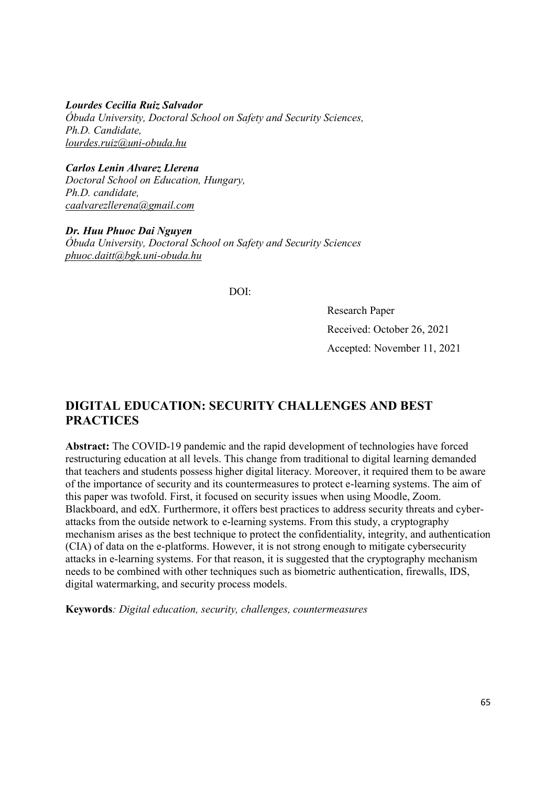Lourdes Cecilia Ruiz Salvador Óbuda University, Doctoral School on Safety and Security Sciences, Ph.D. Candidate, lourdes.ruiz@uni-obuda.hu

Carlos Lenin Alvarez Llerena Doctoral School on Education, Hungary, Ph.D. candidate, caalvarezllerena@gmail.com

Dr. Huu Phuoc Dai Nguyen Óbuda University, Doctoral School on Safety and Security Sciences phuoc.daitt@bgk.uni-obuda.hu

DOI:

Research Paper Received: October 26, 2021 Accepted: November 11, 2021

# DIGITAL EDUCATION: SECURITY CHALLENGES AND BEST **PRACTICES**

Abstract: The COVID-19 pandemic and the rapid development of technologies have forced restructuring education at all levels. This change from traditional to digital learning demanded that teachers and students possess higher digital literacy. Moreover, it required them to be aware of the importance of security and its countermeasures to protect e-learning systems. The aim of this paper was twofold. First, it focused on security issues when using Moodle, Zoom. Blackboard, and edX. Furthermore, it offers best practices to address security threats and cyberattacks from the outside network to e-learning systems. From this study, a cryptography mechanism arises as the best technique to protect the confidentiality, integrity, and authentication (CIA) of data on the e-platforms. However, it is not strong enough to mitigate cybersecurity attacks in e-learning systems. For that reason, it is suggested that the cryptography mechanism needs to be combined with other techniques such as biometric authentication, firewalls, IDS, digital watermarking, and security process models.

Keywords: Digital education, security, challenges, countermeasures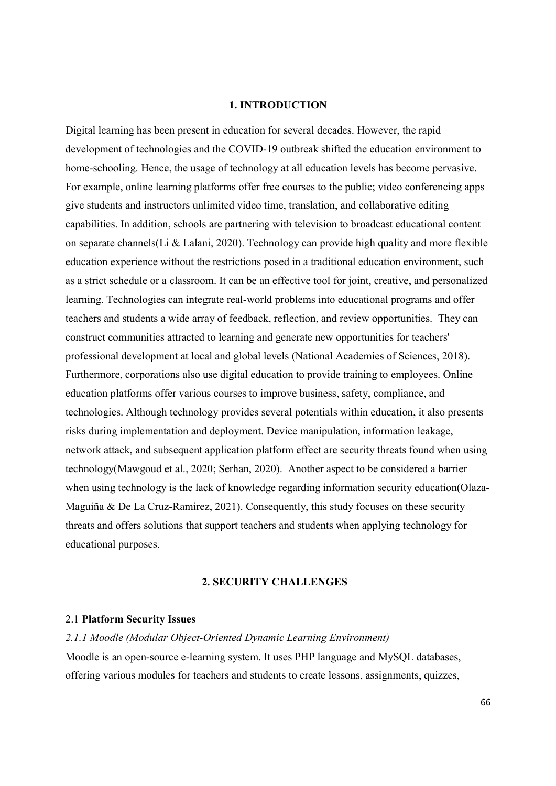### 1. INTRODUCTION

Digital learning has been present in education for several decades. However, the rapid development of technologies and the COVID-19 outbreak shifted the education environment to home-schooling. Hence, the usage of technology at all education levels has become pervasive. For example, online learning platforms offer free courses to the public; video conferencing apps give students and instructors unlimited video time, translation, and collaborative editing capabilities. In addition, schools are partnering with television to broadcast educational content on separate channels(Li & Lalani, 2020). Technology can provide high quality and more flexible education experience without the restrictions posed in a traditional education environment, such as a strict schedule or a classroom. It can be an effective tool for joint, creative, and personalized learning. Technologies can integrate real-world problems into educational programs and offer teachers and students a wide array of feedback, reflection, and review opportunities. They can construct communities attracted to learning and generate new opportunities for teachers' professional development at local and global levels (National Academies of Sciences, 2018). Furthermore, corporations also use digital education to provide training to employees. Online education platforms offer various courses to improve business, safety, compliance, and technologies. Although technology provides several potentials within education, it also presents risks during implementation and deployment. Device manipulation, information leakage, network attack, and subsequent application platform effect are security threats found when using technology(Mawgoud et al., 2020; Serhan, 2020). Another aspect to be considered a barrier when using technology is the lack of knowledge regarding information security education(Olaza-Maguiña & De La Cruz-Ramirez, 2021). Consequently, this study focuses on these security threats and offers solutions that support teachers and students when applying technology for educational purposes.

### 2. SECURITY CHALLENGES

### 2.1 Platform Security Issues

2.1.1 Moodle (Modular Object-Oriented Dynamic Learning Environment) Moodle is an open-source e-learning system. It uses PHP language and MySQL databases, offering various modules for teachers and students to create lessons, assignments, quizzes,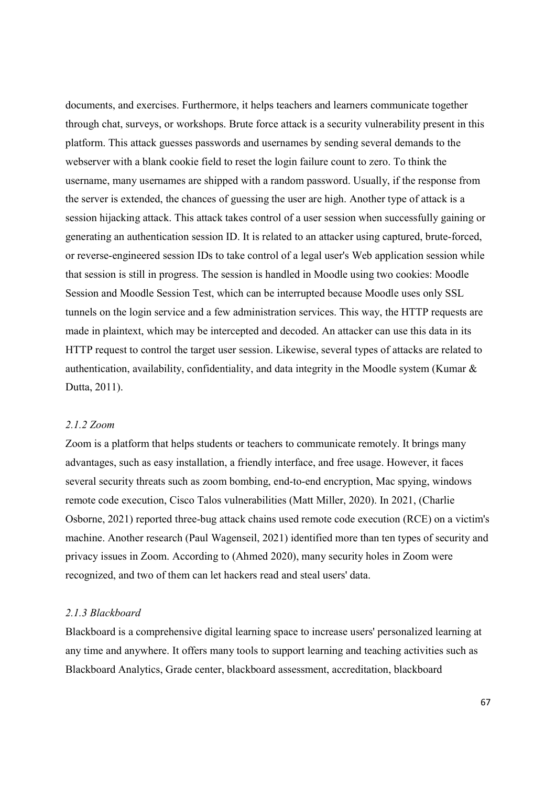documents, and exercises. Furthermore, it helps teachers and learners communicate together through chat, surveys, or workshops. Brute force attack is a security vulnerability present in this platform. This attack guesses passwords and usernames by sending several demands to the webserver with a blank cookie field to reset the login failure count to zero. To think the username, many usernames are shipped with a random password. Usually, if the response from the server is extended, the chances of guessing the user are high. Another type of attack is a session hijacking attack. This attack takes control of a user session when successfully gaining or generating an authentication session ID. It is related to an attacker using captured, brute-forced, or reverse-engineered session IDs to take control of a legal user's Web application session while that session is still in progress. The session is handled in Moodle using two cookies: Moodle Session and Moodle Session Test, which can be interrupted because Moodle uses only SSL tunnels on the login service and a few administration services. This way, the HTTP requests are made in plaintext, which may be intercepted and decoded. An attacker can use this data in its HTTP request to control the target user session. Likewise, several types of attacks are related to authentication, availability, confidentiality, and data integrity in the Moodle system (Kumar & Dutta, 2011).

# 2.1.2 Zoom

Zoom is a platform that helps students or teachers to communicate remotely. It brings many advantages, such as easy installation, a friendly interface, and free usage. However, it faces several security threats such as zoom bombing, end-to-end encryption, Mac spying, windows remote code execution, Cisco Talos vulnerabilities (Matt Miller, 2020). In 2021, (Charlie Osborne, 2021) reported three-bug attack chains used remote code execution (RCE) on a victim's machine. Another research (Paul Wagenseil, 2021) identified more than ten types of security and privacy issues in Zoom. According to (Ahmed 2020), many security holes in Zoom were recognized, and two of them can let hackers read and steal users' data.

# 2.1.3 Blackboard

Blackboard is a comprehensive digital learning space to increase users' personalized learning at any time and anywhere. It offers many tools to support learning and teaching activities such as Blackboard Analytics, Grade center, blackboard assessment, accreditation, blackboard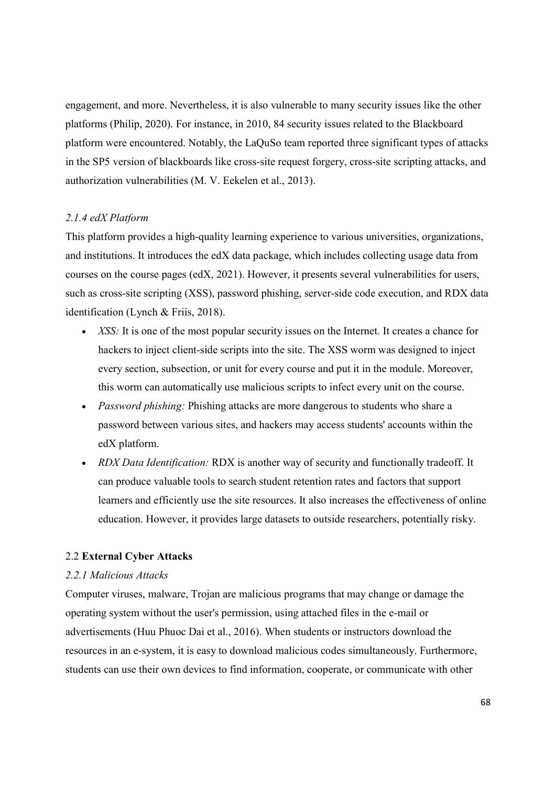engagement, and more. Nevertheless, it is also vulnerable to many security issues like the other platforms (Philip, 2020). For instance, in 2010, 84 security issues related to the Blackboard platform were encountered. Notably, the LaQuSo team reported three significant types of attacks in the SP5 version of blackboards like cross-site request forgery, cross-site scripting attacks, and authorization vulnerabilities (M. V. Eekelen et al., 2013).

### 2.1.4 edX Platform

This platform provides a high-quality learning experience to various universities, organizations, and institutions. It introduces the edX data package, which includes collecting usage data from courses on the course pages (edX, 2021). However, it presents several vulnerabilities for users, such as cross-site scripting (XSS), password phishing, server-side code execution, and RDX data identification (Lynch & Friis, 2018).

- XSS: It is one of the most popular security issues on the Internet. It creates a chance for hackers to inject client-side scripts into the site. The XSS worm was designed to inject every section, subsection, or unit for every course and put it in the module. Moreover, this worm can automatically use malicious scripts to infect every unit on the course.
- Password phishing: Phishing attacks are more dangerous to students who share a password between various sites, and hackers may access students' accounts within the edX platform.
- RDX Data Identification: RDX is another way of security and functionally tradeoff. It can produce valuable tools to search student retention rates and factors that support learners and efficiently use the site resources. It also increases the effectiveness of online education. However, it provides large datasets to outside researchers, potentially risky.

# 2.2 External Cyber Attacks

### 2.2.1 Malicious Attacks

Computer viruses, malware, Trojan are malicious programs that may change or damage the operating system without the user's permission, using attached files in the e-mail or advertisements (Huu Phuoc Dai et al., 2016). When students or instructors download the resources in an e-system, it is easy to download malicious codes simultaneously. Furthermore, students can use their own devices to find information, cooperate, or communicate with other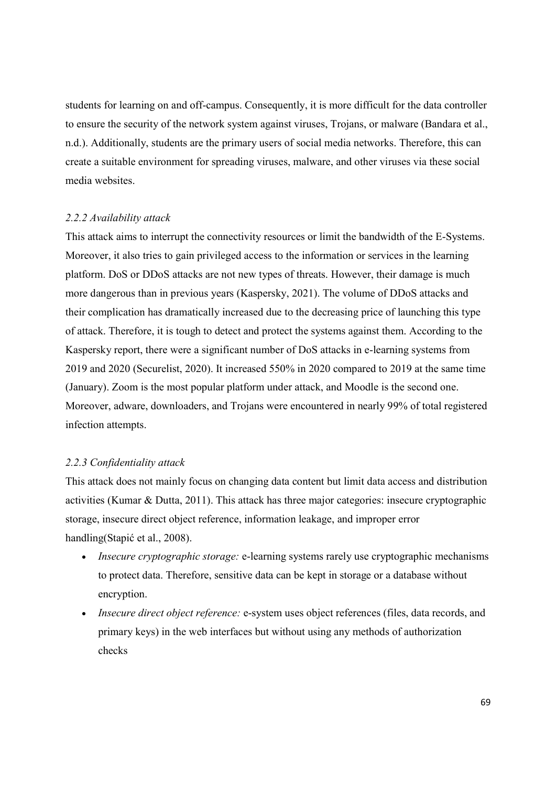students for learning on and off-campus. Consequently, it is more difficult for the data controller to ensure the security of the network system against viruses, Trojans, or malware (Bandara et al., n.d.). Additionally, students are the primary users of social media networks. Therefore, this can create a suitable environment for spreading viruses, malware, and other viruses via these social media websites.

### 2.2.2 Availability attack

This attack aims to interrupt the connectivity resources or limit the bandwidth of the E-Systems. Moreover, it also tries to gain privileged access to the information or services in the learning platform. DoS or DDoS attacks are not new types of threats. However, their damage is much more dangerous than in previous years (Kaspersky, 2021). The volume of DDoS attacks and their complication has dramatically increased due to the decreasing price of launching this type of attack. Therefore, it is tough to detect and protect the systems against them. According to the Kaspersky report, there were a significant number of DoS attacks in e-learning systems from 2019 and 2020 (Securelist, 2020). It increased 550% in 2020 compared to 2019 at the same time (January). Zoom is the most popular platform under attack, and Moodle is the second one. Moreover, adware, downloaders, and Trojans were encountered in nearly 99% of total registered infection attempts.

#### 2.2.3 Confidentiality attack

This attack does not mainly focus on changing data content but limit data access and distribution activities (Kumar & Dutta, 2011). This attack has three major categories: insecure cryptographic storage, insecure direct object reference, information leakage, and improper error handling(Stapić et al., 2008).

- Insecure cryptographic storage: e-learning systems rarely use cryptographic mechanisms to protect data. Therefore, sensitive data can be kept in storage or a database without encryption.
- Insecure direct object reference: e-system uses object references (files, data records, and primary keys) in the web interfaces but without using any methods of authorization checks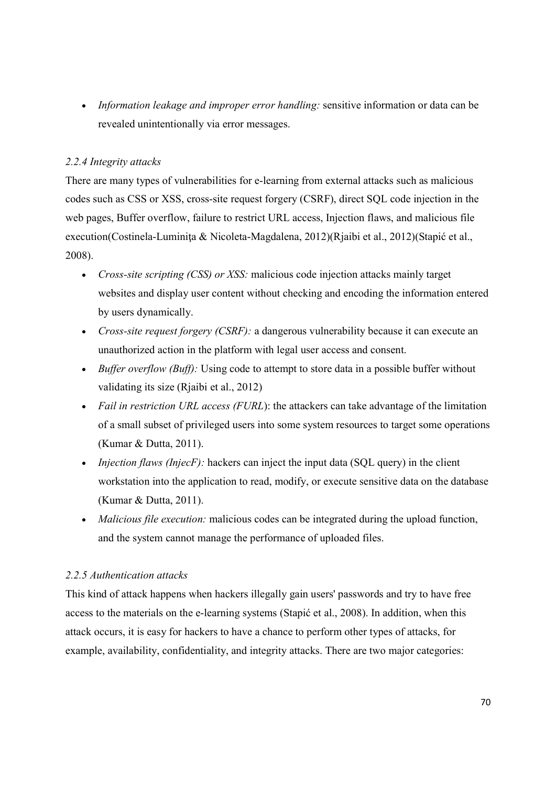• Information leakage and improper error handling: sensitive information or data can be revealed unintentionally via error messages.

# 2.2.4 Integrity attacks

There are many types of vulnerabilities for e-learning from external attacks such as malicious codes such as CSS or XSS, cross-site request forgery (CSRF), direct SQL code injection in the web pages, Buffer overflow, failure to restrict URL access, Injection flaws, and malicious file execution(Costinela-Luminiţa & Nicoleta-Magdalena, 2012)(Rjaibi et al., 2012)(Stapić et al., 2008).

- Cross-site scripting (CSS) or XSS: malicious code injection attacks mainly target websites and display user content without checking and encoding the information entered by users dynamically.
- Cross-site request forgery  $(CSRF)$ : a dangerous vulnerability because it can execute an unauthorized action in the platform with legal user access and consent.
- $\bullet$  *Buffer overflow (Buff)*: Using code to attempt to store data in a possible buffer without validating its size (Rjaibi et al., 2012)
- Fail in restriction URL access (FURL): the attackers can take advantage of the limitation of a small subset of privileged users into some system resources to target some operations (Kumar & Dutta, 2011).
- Injection flaws (InjecF): hackers can inject the input data (SQL query) in the client workstation into the application to read, modify, or execute sensitive data on the database (Kumar & Dutta, 2011).
- Malicious file execution: malicious codes can be integrated during the upload function, and the system cannot manage the performance of uploaded files.

# 2.2.5 Authentication attacks

This kind of attack happens when hackers illegally gain users' passwords and try to have free access to the materials on the e-learning systems (Stapić et al., 2008). In addition, when this attack occurs, it is easy for hackers to have a chance to perform other types of attacks, for example, availability, confidentiality, and integrity attacks. There are two major categories: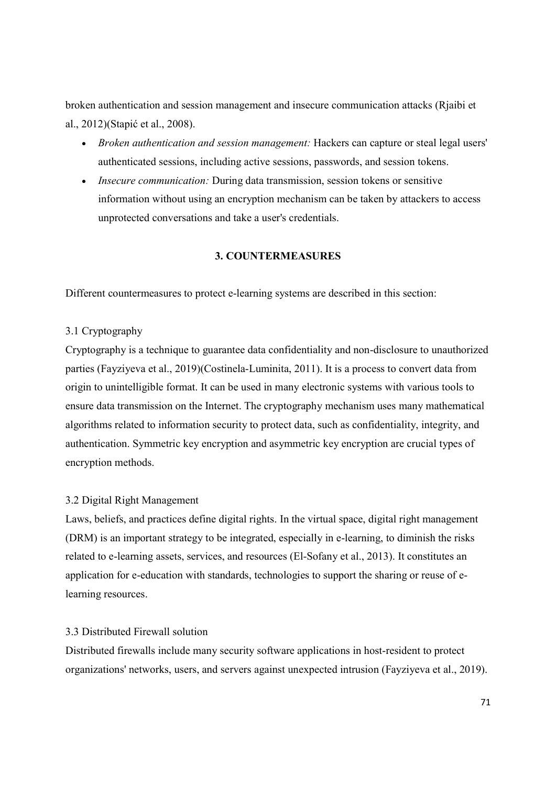broken authentication and session management and insecure communication attacks (Rjaibi et al., 2012)(Stapić et al., 2008).

- Broken authentication and session management: Hackers can capture or steal legal users' authenticated sessions, including active sessions, passwords, and session tokens.
- Insecure communication: During data transmission, session tokens or sensitive information without using an encryption mechanism can be taken by attackers to access unprotected conversations and take a user's credentials.

# 3. COUNTERMEASURES

Different countermeasures to protect e-learning systems are described in this section:

# 3.1 Cryptography

Cryptography is a technique to guarantee data confidentiality and non-disclosure to unauthorized parties (Fayziyeva et al., 2019)(Costinela-Luminita, 2011). It is a process to convert data from origin to unintelligible format. It can be used in many electronic systems with various tools to ensure data transmission on the Internet. The cryptography mechanism uses many mathematical algorithms related to information security to protect data, such as confidentiality, integrity, and authentication. Symmetric key encryption and asymmetric key encryption are crucial types of encryption methods.

### 3.2 Digital Right Management

Laws, beliefs, and practices define digital rights. In the virtual space, digital right management (DRM) is an important strategy to be integrated, especially in e-learning, to diminish the risks related to e-learning assets, services, and resources (El-Sofany et al., 2013). It constitutes an application for e-education with standards, technologies to support the sharing or reuse of elearning resources.

# 3.3 Distributed Firewall solution

Distributed firewalls include many security software applications in host-resident to protect organizations' networks, users, and servers against unexpected intrusion (Fayziyeva et al., 2019).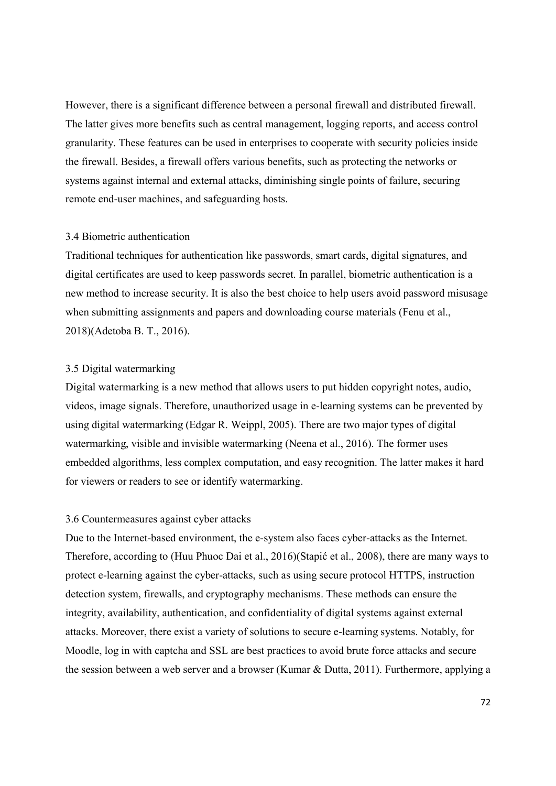However, there is a significant difference between a personal firewall and distributed firewall. The latter gives more benefits such as central management, logging reports, and access control granularity. These features can be used in enterprises to cooperate with security policies inside the firewall. Besides, a firewall offers various benefits, such as protecting the networks or systems against internal and external attacks, diminishing single points of failure, securing remote end-user machines, and safeguarding hosts.

### 3.4 Biometric authentication

Traditional techniques for authentication like passwords, smart cards, digital signatures, and digital certificates are used to keep passwords secret. In parallel, biometric authentication is a new method to increase security. It is also the best choice to help users avoid password misusage when submitting assignments and papers and downloading course materials (Fenu et al., 2018)(Adetoba B. T., 2016).

### 3.5 Digital watermarking

Digital watermarking is a new method that allows users to put hidden copyright notes, audio, videos, image signals. Therefore, unauthorized usage in e-learning systems can be prevented by using digital watermarking (Edgar R. Weippl, 2005). There are two major types of digital watermarking, visible and invisible watermarking (Neena et al., 2016). The former uses embedded algorithms, less complex computation, and easy recognition. The latter makes it hard for viewers or readers to see or identify watermarking.

### 3.6 Countermeasures against cyber attacks

Due to the Internet-based environment, the e-system also faces cyber-attacks as the Internet. Therefore, according to (Huu Phuoc Dai et al., 2016)(Stapić et al., 2008), there are many ways to protect e-learning against the cyber-attacks, such as using secure protocol HTTPS, instruction detection system, firewalls, and cryptography mechanisms. These methods can ensure the integrity, availability, authentication, and confidentiality of digital systems against external attacks. Moreover, there exist a variety of solutions to secure e-learning systems. Notably, for Moodle, log in with captcha and SSL are best practices to avoid brute force attacks and secure the session between a web server and a browser (Kumar & Dutta, 2011). Furthermore, applying a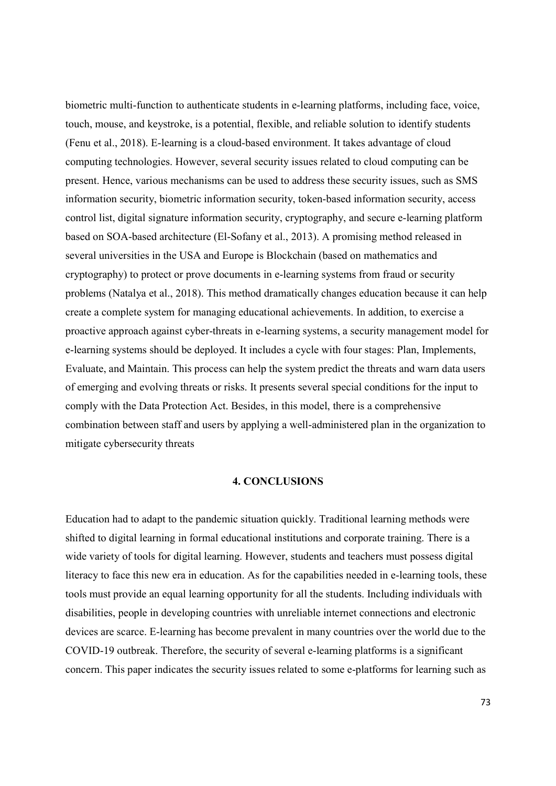biometric multi-function to authenticate students in e-learning platforms, including face, voice, touch, mouse, and keystroke, is a potential, flexible, and reliable solution to identify students (Fenu et al., 2018). E-learning is a cloud-based environment. It takes advantage of cloud computing technologies. However, several security issues related to cloud computing can be present. Hence, various mechanisms can be used to address these security issues, such as SMS information security, biometric information security, token-based information security, access control list, digital signature information security, cryptography, and secure e-learning platform based on SOA-based architecture (El-Sofany et al., 2013). A promising method released in several universities in the USA and Europe is Blockchain (based on mathematics and cryptography) to protect or prove documents in e-learning systems from fraud or security problems (Natalya et al., 2018). This method dramatically changes education because it can help create a complete system for managing educational achievements. In addition, to exercise a proactive approach against cyber-threats in e-learning systems, a security management model for e-learning systems should be deployed. It includes a cycle with four stages: Plan, Implements, Evaluate, and Maintain. This process can help the system predict the threats and warn data users of emerging and evolving threats or risks. It presents several special conditions for the input to comply with the Data Protection Act. Besides, in this model, there is a comprehensive combination between staff and users by applying a well-administered plan in the organization to mitigate cybersecurity threats

### 4. CONCLUSIONS

Education had to adapt to the pandemic situation quickly. Traditional learning methods were shifted to digital learning in formal educational institutions and corporate training. There is a wide variety of tools for digital learning. However, students and teachers must possess digital literacy to face this new era in education. As for the capabilities needed in e-learning tools, these tools must provide an equal learning opportunity for all the students. Including individuals with disabilities, people in developing countries with unreliable internet connections and electronic devices are scarce. E-learning has become prevalent in many countries over the world due to the COVID-19 outbreak. Therefore, the security of several e-learning platforms is a significant concern. This paper indicates the security issues related to some e-platforms for learning such as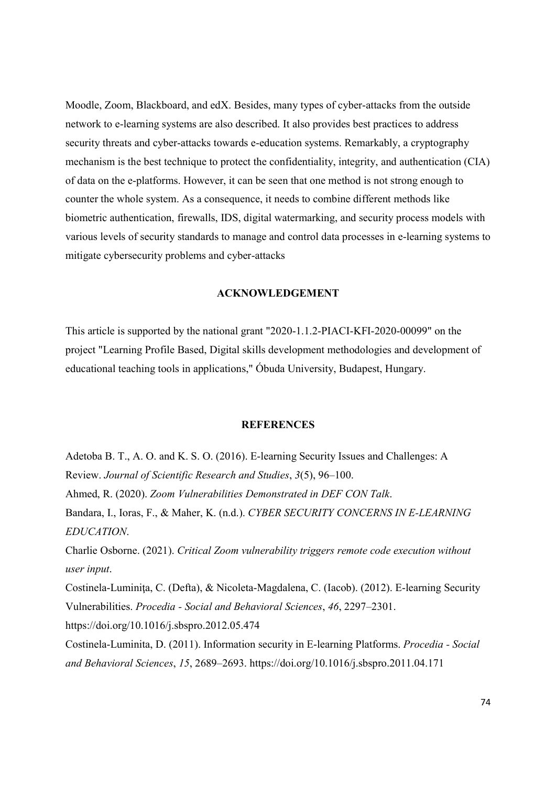Moodle, Zoom, Blackboard, and edX. Besides, many types of cyber-attacks from the outside network to e-learning systems are also described. It also provides best practices to address security threats and cyber-attacks towards e-education systems. Remarkably, a cryptography mechanism is the best technique to protect the confidentiality, integrity, and authentication (CIA) of data on the e-platforms. However, it can be seen that one method is not strong enough to counter the whole system. As a consequence, it needs to combine different methods like biometric authentication, firewalls, IDS, digital watermarking, and security process models with various levels of security standards to manage and control data processes in e-learning systems to mitigate cybersecurity problems and cyber-attacks

### ACKNOWLEDGEMENT

This article is supported by the national grant "2020-1.1.2-PIACI-KFI-2020-00099" on the project "Learning Profile Based, Digital skills development methodologies and development of educational teaching tools in applications," Óbuda University, Budapest, Hungary.

# **REFERENCES**

Adetoba B. T., A. O. and K. S. O. (2016). E-learning Security Issues and Challenges: A Review. Journal of Scientific Research and Studies, 3(5), 96–100. Ahmed, R. (2020). Zoom Vulnerabilities Demonstrated in DEF CON Talk. Bandara, I., Ioras, F., & Maher, K. (n.d.). CYBER SECURITY CONCERNS IN E-LEARNING EDUCATION. Charlie Osborne. (2021). Critical Zoom vulnerability triggers remote code execution without user input. Costinela-Luminita, C. (Defta), & Nicoleta-Magdalena, C. (Iacob). (2012). E-learning Security Vulnerabilities. Procedia - Social and Behavioral Sciences, 46, 2297–2301. https://doi.org/10.1016/j.sbspro.2012.05.474 Costinela-Luminita, D. (2011). Information security in E-learning Platforms. Procedia - Social and Behavioral Sciences, 15, 2689–2693. https://doi.org/10.1016/j.sbspro.2011.04.171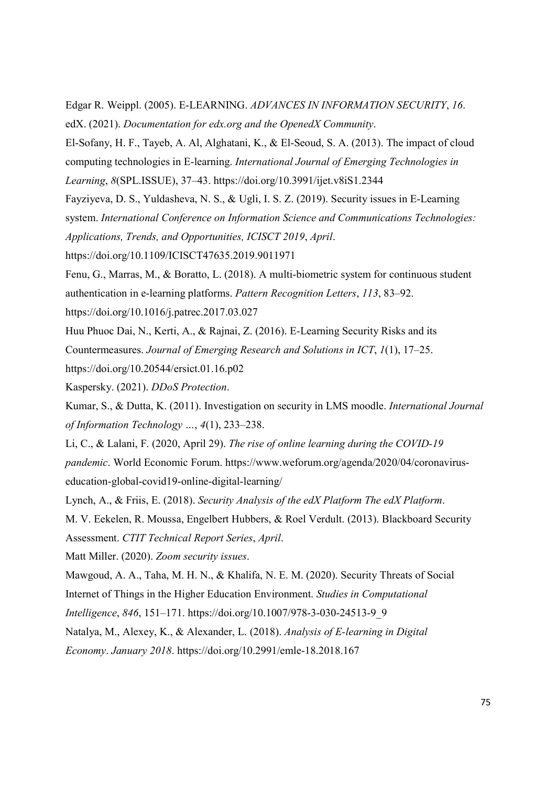Edgar R. Weippl. (2005). E-LEARNING. ADVANCES IN INFORMATION SECURITY, 16. edX. (2021). Documentation for edx.org and the OpenedX Community.

El-Sofany, H. F., Tayeb, A. Al, Alghatani, K., & El-Seoud, S. A. (2013). The impact of cloud computing technologies in E-learning. International Journal of Emerging Technologies in Learning, 8(SPL.ISSUE), 37–43. https://doi.org/10.3991/ijet.v8iS1.2344

Fayziyeva, D. S., Yuldasheva, N. S., & Ugli, I. S. Z. (2019). Security issues in E-Learning system. International Conference on Information Science and Communications Technologies: Applications, Trends, and Opportunities, ICISCT 2019, April.

https://doi.org/10.1109/ICISCT47635.2019.9011971

Fenu, G., Marras, M., & Boratto, L. (2018). A multi-biometric system for continuous student authentication in e-learning platforms. Pattern Recognition Letters, 113, 83–92.

https://doi.org/10.1016/j.patrec.2017.03.027

Huu Phuoc Dai, N., Kerti, A., & Rajnai, Z. (2016). E-Learning Security Risks and its

Countermeasures. Journal of Emerging Research and Solutions in ICT, 1(1), 17–25.

https://doi.org/10.20544/ersict.01.16.p02

Kaspersky. (2021). DDoS Protection.

Kumar, S., & Dutta, K. (2011). Investigation on security in LMS moodle. International Journal of Information Technology …, 4(1), 233–238.

Li, C., & Lalani, F. (2020, April 29). The rise of online learning during the COVID-19 pandemic. World Economic Forum. https://www.weforum.org/agenda/2020/04/coronaviruseducation-global-covid19-online-digital-learning/

Lynch, A., & Friis, E. (2018). Security Analysis of the edX Platform The edX Platform.

M. V. Eekelen, R. Moussa, Engelbert Hubbers, & Roel Verdult. (2013). Blackboard Security

Assessment. CTIT Technical Report Series, April.

Matt Miller. (2020). Zoom security issues.

Mawgoud, A. A., Taha, M. H. N., & Khalifa, N. E. M. (2020). Security Threats of Social

Internet of Things in the Higher Education Environment. Studies in Computational

Intelligence, 846, 151–171. https://doi.org/10.1007/978-3-030-24513-9\_9

Natalya, M., Alexey, K., & Alexander, L. (2018). Analysis of E-learning in Digital

Economy. January 2018. https://doi.org/10.2991/emle-18.2018.167